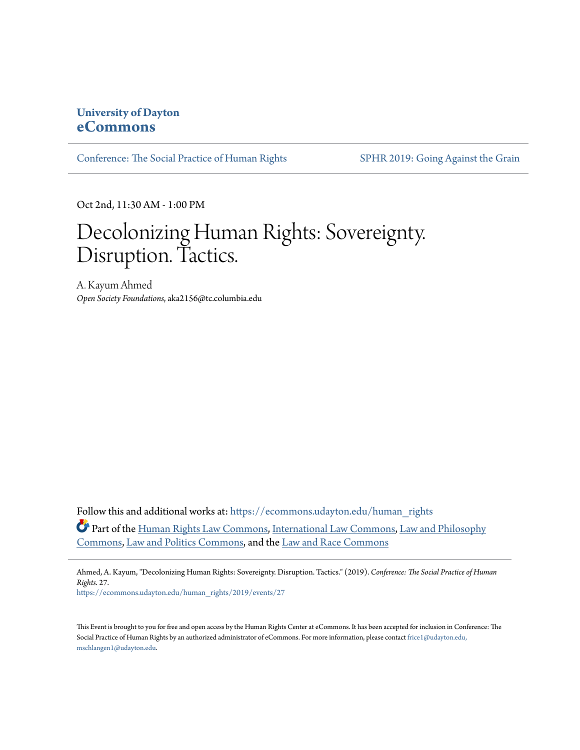## **University of Dayton [eCommons](https://ecommons.udayton.edu/?utm_source=ecommons.udayton.edu%2Fhuman_rights%2F2019%2Fevents%2F27&utm_medium=PDF&utm_campaign=PDFCoverPages)**

[Conference: The Social Practice of Human Rights](https://ecommons.udayton.edu/human_rights?utm_source=ecommons.udayton.edu%2Fhuman_rights%2F2019%2Fevents%2F27&utm_medium=PDF&utm_campaign=PDFCoverPages) [SPHR 2019: Going Against the Grain](https://ecommons.udayton.edu/human_rights/2019?utm_source=ecommons.udayton.edu%2Fhuman_rights%2F2019%2Fevents%2F27&utm_medium=PDF&utm_campaign=PDFCoverPages)

Oct 2nd, 11:30 AM - 1:00 PM

## Decolonizing Human Rights: Sovereignty. Disruption. Tactics.

A. Kayum Ahmed *Open Society Foundations*, aka2156@tc.columbia.edu

Follow this and additional works at: [https://ecommons.udayton.edu/human\\_rights](https://ecommons.udayton.edu/human_rights?utm_source=ecommons.udayton.edu%2Fhuman_rights%2F2019%2Fevents%2F27&utm_medium=PDF&utm_campaign=PDFCoverPages) Part of the [Human Rights Law Commons,](http://network.bepress.com/hgg/discipline/847?utm_source=ecommons.udayton.edu%2Fhuman_rights%2F2019%2Fevents%2F27&utm_medium=PDF&utm_campaign=PDFCoverPages) [International Law Commons](http://network.bepress.com/hgg/discipline/609?utm_source=ecommons.udayton.edu%2Fhuman_rights%2F2019%2Fevents%2F27&utm_medium=PDF&utm_campaign=PDFCoverPages), [Law and Philosophy](http://network.bepress.com/hgg/discipline/1299?utm_source=ecommons.udayton.edu%2Fhuman_rights%2F2019%2Fevents%2F27&utm_medium=PDF&utm_campaign=PDFCoverPages) [Commons,](http://network.bepress.com/hgg/discipline/1299?utm_source=ecommons.udayton.edu%2Fhuman_rights%2F2019%2Fevents%2F27&utm_medium=PDF&utm_campaign=PDFCoverPages) [Law and Politics Commons](http://network.bepress.com/hgg/discipline/867?utm_source=ecommons.udayton.edu%2Fhuman_rights%2F2019%2Fevents%2F27&utm_medium=PDF&utm_campaign=PDFCoverPages), and the [Law and Race Commons](http://network.bepress.com/hgg/discipline/1300?utm_source=ecommons.udayton.edu%2Fhuman_rights%2F2019%2Fevents%2F27&utm_medium=PDF&utm_campaign=PDFCoverPages)

Ahmed, A. Kayum, "Decolonizing Human Rights: Sovereignty. Disruption. Tactics." (2019). *Conference: The Social Practice of Human Rights*. 27.

[https://ecommons.udayton.edu/human\\_rights/2019/events/27](https://ecommons.udayton.edu/human_rights/2019/events/27?utm_source=ecommons.udayton.edu%2Fhuman_rights%2F2019%2Fevents%2F27&utm_medium=PDF&utm_campaign=PDFCoverPages)

This Event is brought to you for free and open access by the Human Rights Center at eCommons. It has been accepted for inclusion in Conference: The Social Practice of Human Rights by an authorized administrator of eCommons. For more information, please contact [frice1@udayton.edu,](mailto:frice1@udayton.edu,%20mschlangen1@udayton.edu) [mschlangen1@udayton.edu.](mailto:frice1@udayton.edu,%20mschlangen1@udayton.edu)